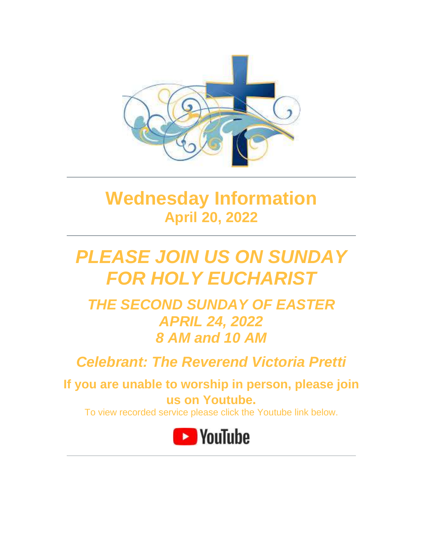

# **Wednesday Information April 20, 2022**

# *PLEASE JOIN US ON SUNDAY FOR HOLY EUCHARIST*

*THE SECOND SUNDAY OF EASTER APRIL 24, 2022 8 AM and 10 AM*

*Celebrant: The Reverend Victoria Pretti*

**If you are unable to worship in person, please join us on Youtube.**

To view recorded service please click the Youtube link below.

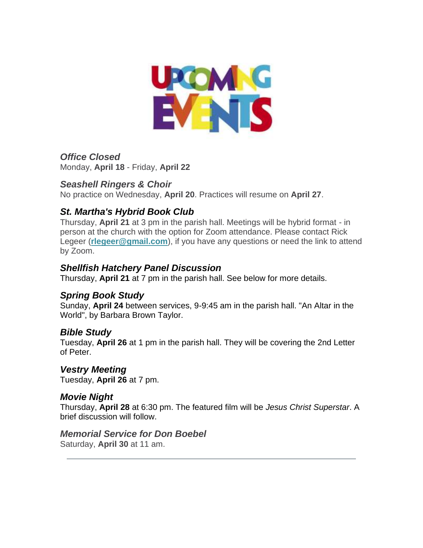

*Office Closed* Monday, **April 18** - Friday, **April 22**

### *Seashell Ringers & Choir*

No practice on Wednesday, **April 20**. Practices will resume on **April 27**.

## *St. Martha's Hybrid Book Club*

Thursday, **April 21** at 3 pm in the parish hall. Meetings will be hybrid format - in person at the church with the option for Zoom attendance. Please contact Rick Legeer (**[rlegeer@gmail.com](mailto:rlegeer@gmail.com)**), if you have any questions or need the link to attend by Zoom.

### *Shellfish Hatchery Panel Discussion*

Thursday, **April 21** at 7 pm in the parish hall. See below for more details.

## *Spring Book Study*

Sunday, **April 24** between services, 9-9:45 am in the parish hall. "An Altar in the World", by Barbara Brown Taylor.

### *Bible Study*

Tuesday, **April 26** at 1 pm in the parish hall. They will be covering the 2nd Letter of Peter.

### *Vestry Meeting*

Tuesday, **April 26** at 7 pm.

## *Movie Night*

Thursday, **April 28** at 6:30 pm. The featured film will be *Jesus Christ Superstar*. A brief discussion will follow.

### *Memorial Service for Don Boebel*

Saturday, **April 30** at 11 am.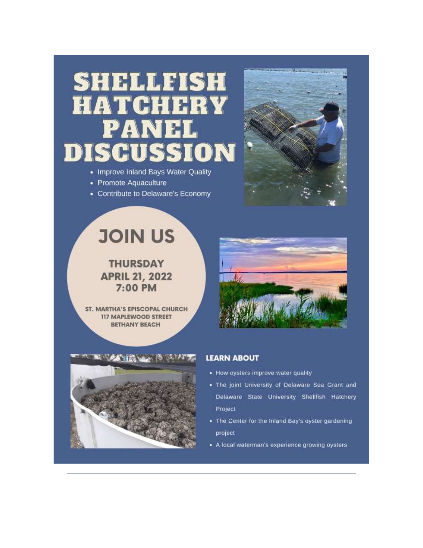# SHELLFISH HRY HAT **CHI**  $\Delta$ A  $\blacktriangleright$ DN

- Improve Inland Bays Water Quality
- Promote Aquaculture
- Contribute to Delaware's Economy



# **JOIN US**

**THURSDAY APRIL 21, 2022** 7:00 PM

**ST. MARTHA'S EPISCOPAL CHURCH 117 MAPLEWOOD STREET BETHANY BEACH** 





#### **LEARN ABOUT**

- How oysters improve water quality
- . The joint University of Delaware Sea Grant and Delaware State University Shellfish Hatchery Project
- The Center for the Inland Bay's oyster gardening project
- A local waterman's experience growing oysters.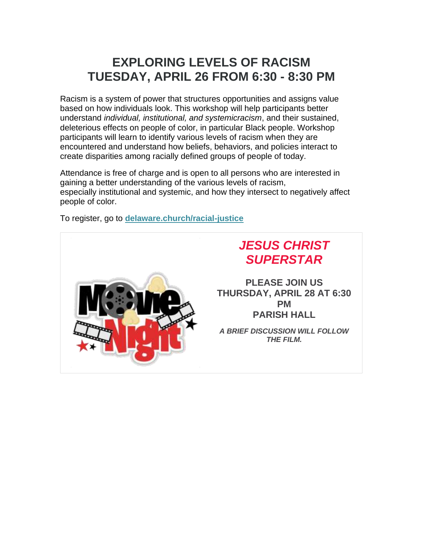# **EXPLORING LEVELS OF RACISM TUESDAY, APRIL 26 FROM 6:30 - 8:30 PM**

Racism is a system of power that structures opportunities and assigns value based on how individuals look. This workshop will help participants better understand *individual, institutional, and systemicracism*, and their sustained, deleterious effects on people of color, in particular Black people. Workshop participants will learn to identify various levels of racism when they are encountered and understand how beliefs, behaviors, and policies interact to create disparities among racially defined groups of people of today.

Attendance is free of charge and is open to all persons who are interested in gaining a better understanding of the various levels of racism, especially institutional and systemic, and how they intersect to negatively affect people of color.

To register, go to **[delaware.church/racial-justice](https://delaware.church/racial-justice/)**

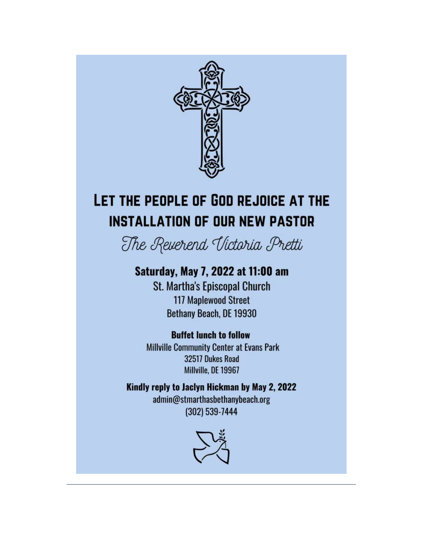

# LET THE PEOPLE OF GOD REJOICE AT THE **INSTALLATION OF OUR NEW PASTOR**

The Reverend Victoria Pretti

# Saturday, May 7, 2022 at 11:00 am

**St. Martha's Episcopal Church 117 Maplewood Street** Bethany Beach, DE 19930

# **Buffet lunch to follow**

**Millville Community Center at Evans Park** 32517 Dukes Road Millville, DE 19967

Kindly reply to Jaclyn Hickman by May 2, 2022 admin@stmarthasbethanybeach.org (302) 539-7444

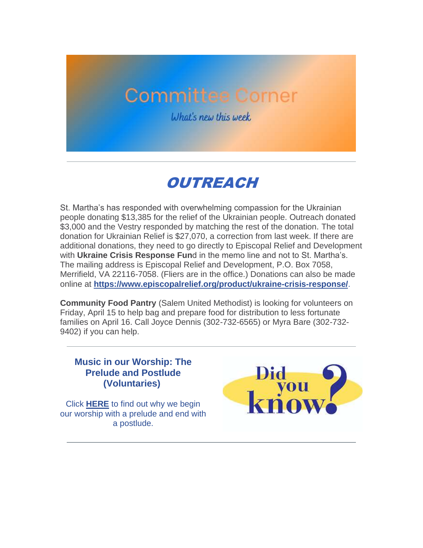# **Committee Corner**

What's new this week

# OUTREACH

St. Martha's has responded with overwhelming compassion for the Ukrainian people donating \$13,385 for the relief of the Ukrainian people. Outreach donated \$3,000 and the Vestry responded by matching the rest of the donation. The total donation for Ukrainian Relief is \$27,070, a correction from last week. If there are additional donations, they need to go directly to Episcopal Relief and Development with **Ukraine Crisis Response Fun**d in the memo line and not to St. Martha's. The mailing address is Episcopal Relief and Development, P.O. Box 7058, Merrifield, VA 22116-7058. (Fliers are in the office.) Donations can also be made online at **<https://www.episcopalrelief.org/product/ukraine-crisis-response/>**.

**Community Food Pantry** (Salem United Methodist) is looking for volunteers on Friday, April 15 to help bag and prepare food for distribution to less fortunate families on April 16. Call Joyce Dennis (302-732-6565) or Myra Bare (302-732- 9402) if you can help.

### **Music in our Worship: The Prelude and Postlude (Voluntaries)**

Click **[HERE](https://files.constantcontact.com/bdb2f51a201/21523c97-5200-419c-b9b1-168d5be37884.pdf)** to find out why we begin our worship with a prelude and end with a postlude.